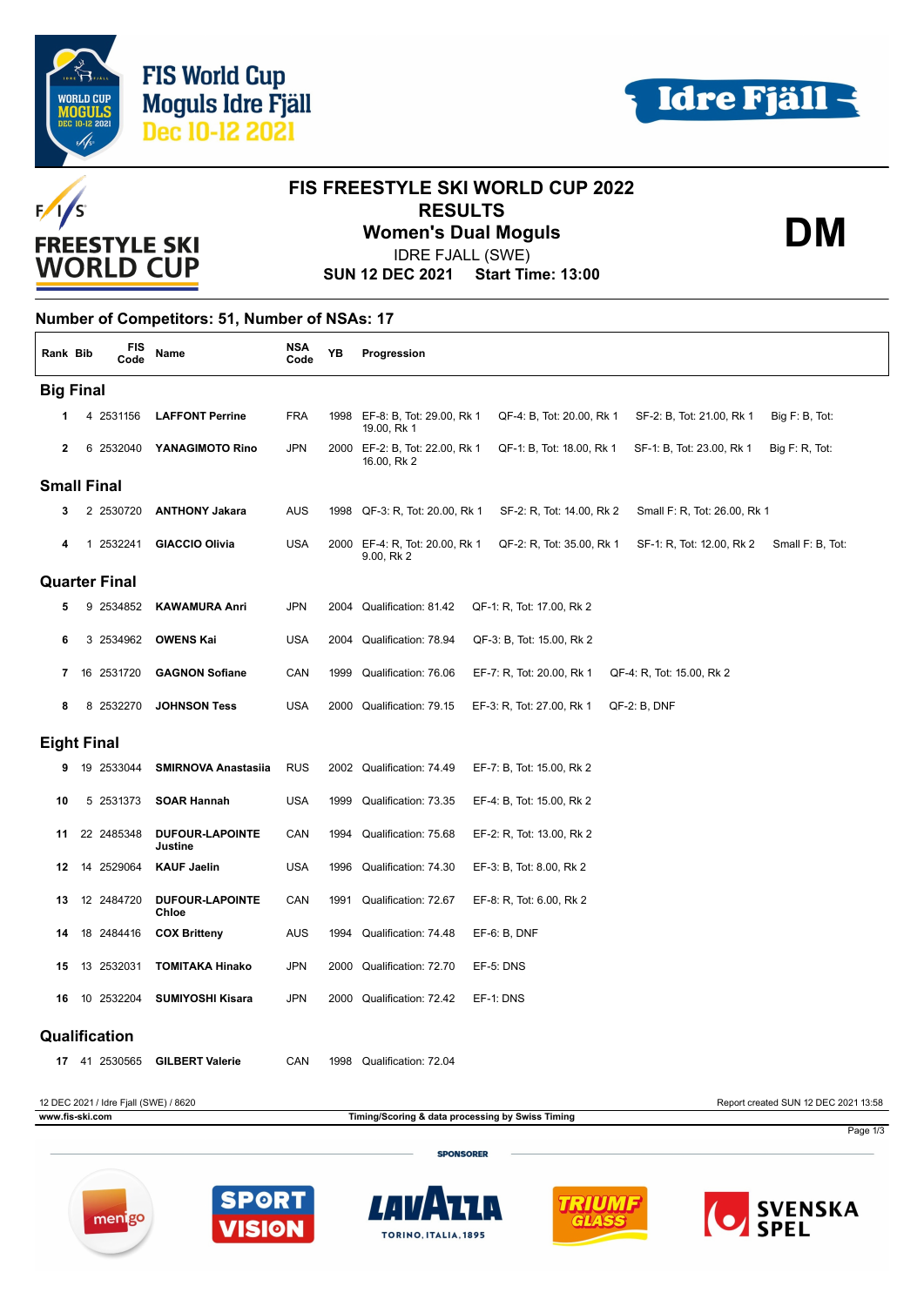



**DM**



## **FIS FREESTYLE SKI WORLD CUP 2022 RESULTS Women's Dual Moguls**

IDRE FJALL (SWE)

**SUN 12 DEC 2021 Start Time: 13:00**

## **Number of Competitors: 51, Number of NSAs: 17**

| Rank Bib           |                      | <b>FIS</b><br>Code                    | Name                              | <b>NSA</b><br>Code | ΥB   | Progression                                                                                                                |  |  |  |
|--------------------|----------------------|---------------------------------------|-----------------------------------|--------------------|------|----------------------------------------------------------------------------------------------------------------------------|--|--|--|
| <b>Big Final</b>   |                      |                                       |                                   |                    |      |                                                                                                                            |  |  |  |
| 1                  |                      | 4 2531156                             | <b>LAFFONT Perrine</b>            | <b>FRA</b>         |      | 1998 EF-8: B, Tot: 29.00, Rk 1<br>QF-4: B, Tot: 20.00, Rk 1<br>SF-2: B, Tot: 21.00, Rk 1<br>Big F: B, Tot:<br>19.00, Rk 1  |  |  |  |
| $\mathbf{2}$       |                      | 6 2532040                             | YANAGIMOTO Rino                   | <b>JPN</b>         | 2000 | EF-2: B, Tot: 22.00, Rk 1<br>QF-1: B, Tot: 18.00, Rk 1<br>SF-1: B, Tot: 23.00, Rk 1<br>Big F: R, Tot:<br>16.00, Rk 2       |  |  |  |
| <b>Small Final</b> |                      |                                       |                                   |                    |      |                                                                                                                            |  |  |  |
| 3                  |                      | 2 2530720                             | <b>ANTHONY Jakara</b>             | AUS                |      | 1998 QF-3: R, Tot: 20.00, Rk 1<br>SF-2: R, Tot: 14.00, Rk 2<br>Small F: R, Tot: 26.00, Rk 1                                |  |  |  |
|                    |                      | 2532241<br>1                          | <b>GIACCIO Olivia</b>             | <b>USA</b>         |      | 2000 EF-4: R, Tot: 20.00, Rk 1<br>QF-2: R, Tot: 35.00, Rk 1<br>SF-1: R, Tot: 12.00, Rk 2<br>Small F: B, Tot:<br>9.00, Rk 2 |  |  |  |
|                    | <b>Quarter Final</b> |                                       |                                   |                    |      |                                                                                                                            |  |  |  |
| 5                  |                      | 9 2534852                             | <b>KAWAMURA Anri</b>              | <b>JPN</b>         | 2004 | Qualification: 81.42<br>QF-1: R, Tot: 17.00, Rk 2                                                                          |  |  |  |
| 6                  |                      | 3 2534962                             | <b>OWENS Kai</b>                  | USA                |      | 2004 Qualification: 78.94<br>QF-3: B, Tot: 15.00, Rk 2                                                                     |  |  |  |
| 7                  | 16                   | 2531720                               | <b>GAGNON Sofiane</b>             | CAN                | 1999 | Qualification: 76.06<br>EF-7: R, Tot: 20.00, Rk 1<br>QF-4: R, Tot: 15.00, Rk 2                                             |  |  |  |
| 8                  |                      | 8 2532270                             | <b>JOHNSON Tess</b>               | <b>USA</b>         | 2000 | Qualification: 79.15<br>EF-3: R, Tot: 27.00, Rk 1<br>$QF-2$ : $B$ , $DNF$                                                  |  |  |  |
| <b>Eight Final</b> |                      |                                       |                                   |                    |      |                                                                                                                            |  |  |  |
| 9                  |                      | 19 2533044                            | <b>SMIRNOVA Anastasiia</b>        | <b>RUS</b>         |      | 2002 Qualification: 74.49<br>EF-7: B, Tot: 15.00, Rk 2                                                                     |  |  |  |
| 10                 |                      | 5 2531373                             | <b>SOAR Hannah</b>                | USA                | 1999 | Qualification: 73.35<br>EF-4: B, Tot: 15.00, Rk 2                                                                          |  |  |  |
| 11                 |                      | 22 2485348                            | <b>DUFOUR-LAPOINTE</b><br>Justine | CAN                | 1994 | Qualification: 75.68<br>EF-2: R, Tot: 13.00, Rk 2                                                                          |  |  |  |
| 12                 | 14                   | 2529064                               | <b>KAUF Jaelin</b>                | <b>USA</b>         | 1996 | Qualification: 74.30<br>EF-3: B, Tot: 8.00, Rk 2                                                                           |  |  |  |
| 13                 |                      | 12 2484720                            | <b>DUFOUR-LAPOINTE</b><br>Chloe   | CAN                | 1991 | Qualification: 72.67<br>EF-8: R, Tot: 6.00, Rk 2                                                                           |  |  |  |
| 14                 | 18                   | 2484416                               | <b>COX Britteny</b>               | AUS                | 1994 | Qualification: 74.48<br>EF-6: B, DNF                                                                                       |  |  |  |
| 15                 | 13                   | 2532031                               | <b>TOMITAKA Hinako</b>            | <b>JPN</b>         | 2000 | Qualification: 72.70<br>EF-5: DNS                                                                                          |  |  |  |
| 16                 | 10                   | 2532204                               | <b>SUMIYOSHI Kisara</b>           | <b>JPN</b>         | 2000 | Qualification: 72.42<br>EF-1: DNS                                                                                          |  |  |  |
|                    |                      | Qualification                         |                                   |                    |      |                                                                                                                            |  |  |  |
| 17                 |                      | 41 2530565                            | <b>GILBERT Valerie</b>            | CAN                | 1998 | Qualification: 72.04                                                                                                       |  |  |  |
|                    |                      | 12 DEC 2021 / Idre Fjall (SWE) / 8620 |                                   |                    |      | Report created SUN 12 DEC 2021 13:58                                                                                       |  |  |  |
| www.fis-ski.com    |                      |                                       |                                   |                    |      | Timing/Scoring & data processing by Swiss Timing<br>Page 1/3                                                               |  |  |  |

**SPONSORER** 









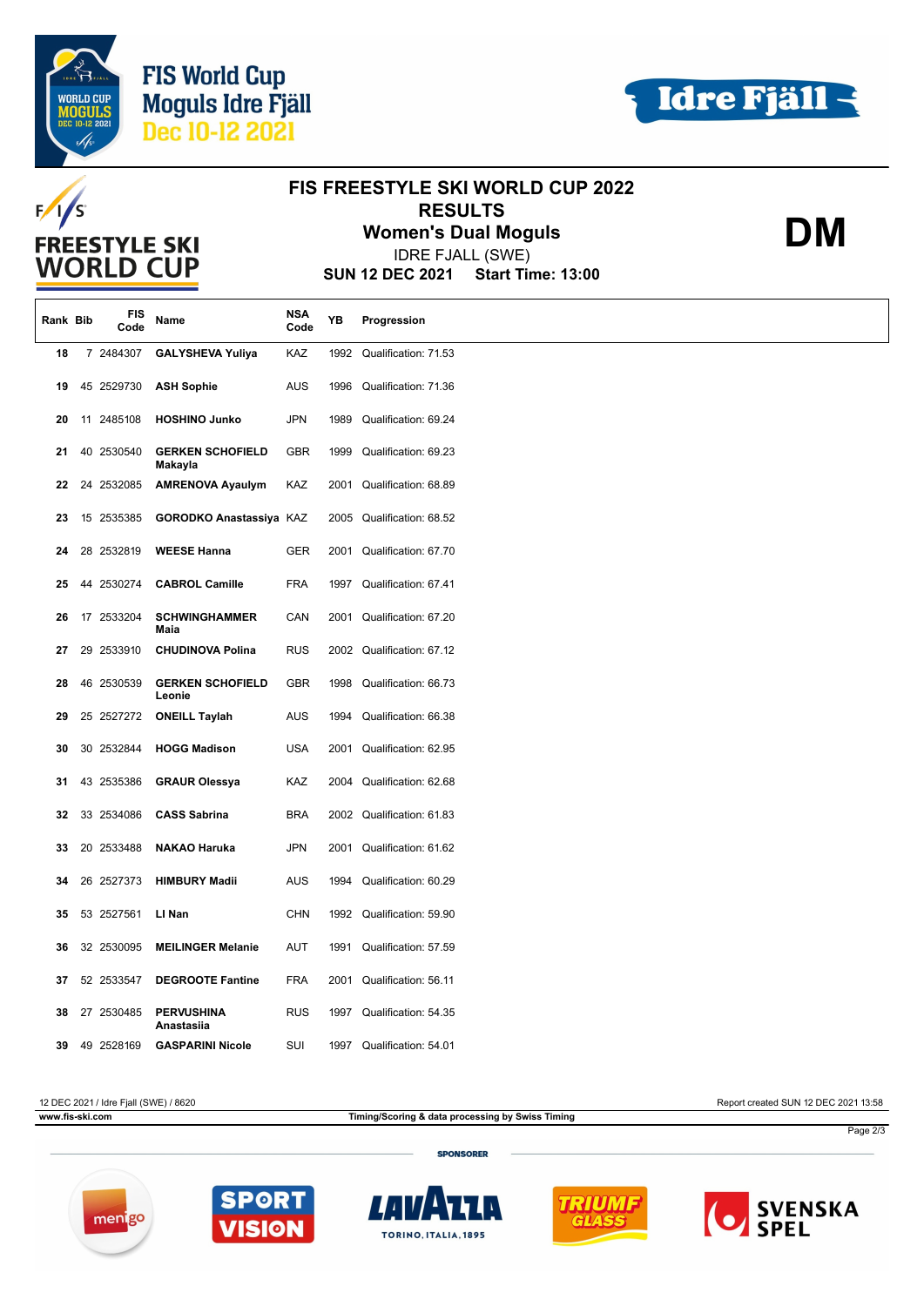

**FREESTYLE SKI WORLD CUP** 

 $F/I/S$ 



**DM**

## **FIS FREESTYLE SKI WORLD CUP 2022 RESULTS**

**Women's Dual Moguls**

IDRE FJALL (SWE)

**SUN 12 DEC 2021 Start Time: 13:00**

| Rank Bib |    | FIS<br>Code | Name                               | <b>NSA</b><br>Code | ΥB   | Progression               |
|----------|----|-------------|------------------------------------|--------------------|------|---------------------------|
| 18       |    | 7 2484307   | <b>GALYSHEVA Yuliya</b>            | KAZ                | 1992 | Qualification: 71.53      |
| 19       |    | 45 2529730  | <b>ASH Sophie</b>                  | <b>AUS</b>         | 1996 | Qualification: 71.36      |
| 20       | 11 | 2485108     | <b>HOSHINO Junko</b>               | <b>JPN</b>         | 1989 | Qualification: 69.24      |
| 21       | 40 | 2530540     | <b>GERKEN SCHOFIELD</b><br>Makayla | <b>GBR</b>         | 1999 | Qualification: 69.23      |
| 22       |    | 24 2532085  | <b>AMRENOVA Ayaulym</b>            | KAZ                | 2001 | Qualification: 68.89      |
| 23       |    | 15 2535385  | GORODKO Anastassiya KAZ            |                    |      | 2005 Qualification: 68.52 |
| 24       |    | 28 2532819  | <b>WEESE Hanna</b>                 | GER                | 2001 | Qualification: 67.70      |
| 25       |    | 44 2530274  | <b>CABROL Camille</b>              | <b>FRA</b>         | 1997 | Qualification: 67.41      |
| 26       |    | 17 2533204  | <b>SCHWINGHAMMER</b><br>Maia       | CAN                |      | 2001 Qualification: 67.20 |
| 27       |    | 29 2533910  | <b>CHUDINOVA Polina</b>            | <b>RUS</b>         |      | 2002 Qualification: 67.12 |
| 28       |    | 46 2530539  | <b>GERKEN SCHOFIELD</b><br>Leonie  | <b>GBR</b>         | 1998 | Qualification: 66.73      |
| 29       |    | 25 2527272  | <b>ONEILL Taylah</b>               | <b>AUS</b>         | 1994 | Qualification: 66.38      |
| 30       |    | 30 2532844  | <b>HOGG Madison</b>                | <b>USA</b>         | 2001 | Qualification: 62.95      |
| 31       |    | 43 2535386  | <b>GRAUR Olessya</b>               | KAZ                | 2004 | Qualification: 62.68      |
| 32       |    | 33 2534086  | <b>CASS Sabrina</b>                | <b>BRA</b>         |      | 2002 Qualification: 61.83 |
| 33       |    | 20 2533488  | <b>NAKAO Haruka</b>                | <b>JPN</b>         | 2001 | Qualification: 61.62      |
| 34       |    | 26 2527373  | <b>HIMBURY Madii</b>               | AUS                | 1994 | Qualification: 60.29      |
| 35       |    | 53 2527561  | LI Nan                             | <b>CHN</b>         | 1992 | Qualification: 59.90      |
| 36       |    | 32 2530095  | <b>MEILINGER Melanie</b>           | <b>AUT</b>         | 1991 | Qualification: 57.59      |
| 37       |    | 52 2533547  | <b>DEGROOTE Fantine</b>            | <b>FRA</b>         | 2001 | Qualification: 56.11      |
| 38       |    | 27 2530485  | <b>PERVUSHINA</b><br>Anastasiia    | <b>RUS</b>         | 1997 | Qualification: 54.35      |
| 39       |    | 49 2528169  | <b>GASPARINI Nicole</b>            | SUI                | 1997 | Qualification: 54.01      |

12 DEC 2021 / Idre Fjall (SWE) / 8620 Report created SUN 12 DEC 2021 13:58

**www.fis-ski.com Timing/Scoring & data processing by Swiss Timing**

Page 2/3

**SPONSORER**